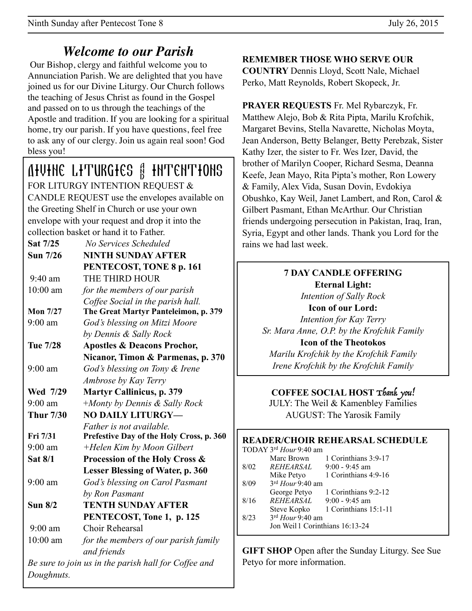# *Welcome to our Parish*

 Our Bishop, clergy and faithful welcome you to Annunciation Parish. We are delighted that you have joined us for our Divine Liturgy. Our Church follows the teaching of Jesus Christ as found in the Gospel and passed on to us through the teachings of the Apostle and tradition. If you are looking for a spiritual home, try our parish. If you have questions, feel free to ask any of our clergy. Join us again real soon! God bless you!

**AIVINE LITURGIES & INTENTIONS** FOR LITURGY INTENTION REQUEST & CANDLE REQUEST use the envelopes available on the Greeting Shelf in Church or use your own envelope with your request and drop it into the collection basket or hand it to Father.

| Sat 7/25         | No Services Scheduled                                |  |
|------------------|------------------------------------------------------|--|
| Sun 7/26         | <b>NINTH SUNDAY AFTER</b>                            |  |
|                  | PENTECOST, TONE 8 p. 161                             |  |
| $9:40$ am        | THE THIRD HOUR                                       |  |
| 10:00 am         | for the members of our parish                        |  |
|                  | Coffee Social in the parish hall.                    |  |
| <b>Mon 7/27</b>  | The Great Martyr Panteleimon, p. 379                 |  |
| $9:00$ am        | God's blessing on Mitzi Moore                        |  |
|                  | by Dennis & Sally Rock                               |  |
| Tue 7/28         | <b>Apostles &amp; Deacons Prochor,</b>               |  |
|                  | Nicanor, Timon & Parmenas, p. 370                    |  |
| $9:00$ am        | God's blessing on Tony & Irene                       |  |
|                  | Ambrose by Kay Terry                                 |  |
| Wed 7/29         | <b>Martyr Callinicus, p. 379</b>                     |  |
| $9:00$ am        | +Monty by Dennis & Sally Rock                        |  |
| <b>Thur 7/30</b> | <b>NO DAILY LITURGY-</b>                             |  |
|                  | Father is not available.                             |  |
| Fri 7/31         | Prefestive Day of the Holy Cross, p. 360             |  |
| $9:00$ am        | +Helen Kim by Moon Gilbert                           |  |
| Sat 8/1          | Procession of the Holy Cross &                       |  |
|                  | <b>Lesser Blessing of Water, p. 360</b>              |  |
| $9:00$ am        | God's blessing on Carol Pasmant                      |  |
|                  | by Ron Pasmant                                       |  |
| Sun $8/2$        | <b>TENTH SUNDAY AFTER</b>                            |  |
|                  | PENTECOST, Tone 1, p. 125                            |  |
| $9:00$ am        | Choir Rehearsal                                      |  |
| $10:00$ am       | for the members of our parish family                 |  |
|                  | and friends                                          |  |
|                  | Be sure to join us in the parish hall for Coffee and |  |
| Doughnuts.       |                                                      |  |
|                  |                                                      |  |

**REMEMBER THOSE WHO SERVE OUR** 

**COUNTRY** Dennis Lloyd, Scott Nale, Michael Perko, Matt Reynolds, Robert Skopeck, Jr.

**PRAYER REQUESTS** Fr. Mel Rybarczyk, Fr. Matthew Alejo, Bob & Rita Pipta, Marilu Krofchik, Margaret Bevins, Stella Navarette, Nicholas Moyta, Jean Anderson, Betty Belanger, Betty Perebzak, Sister Kathy Izer, the sister to Fr. Wes Izer, David, the brother of Marilyn Cooper, Richard Sesma, Deanna Keefe, Jean Mayo, Rita Pipta's mother, Ron Lowery & Family, Alex Vida, Susan Dovin, Evdokiya Obushko, Kay Weil, Janet Lambert, and Ron, Carol & Gilbert Pasmant, Ethan McArthur. Our Christian friends undergoing persecution in Pakistan, Iraq, Iran, Syria, Egypt and other lands. Thank you Lord for the rains we had last week

### **7 DAY CANDLE OFFERING Eternal Light:**  *Intention of Sally Rock*  **Icon of our Lord:**  *Intention for Kay Terry Sr. Mara Anne, O.P. by the Krofchik Family*  **Icon of the Theotokos**  *Marilu Krofchik by the Krofchik Family Irene Krofchik by the Krofchik Family*

**COFFEE SOCIAL HOST** Thank you! JULY: The Weil & Kamenbley Families AUGUST: The Yarosik Family

|                        |                                 |                    | <b>READER/CHOIR REHEARSAL SCHEDULE</b> |  |
|------------------------|---------------------------------|--------------------|----------------------------------------|--|
| TODAY 3rd Hour 9:40 am |                                 |                    |                                        |  |
|                        |                                 | Marc Brown         | 1 Corinthians 3:9-17                   |  |
|                        | 8/02                            |                    | $REHEARSAL$ 9:00 - 9:45 am             |  |
|                        |                                 | Mike Petyo         | 1 Corinthians 4:9-16                   |  |
|                        | 8/09                            | $3rd$ Hour 9:40 am |                                        |  |
|                        |                                 | George Petyo       | 1 Corinthians 9:2-12                   |  |
|                        | 8/16                            |                    | $REHEARSAL$ 9:00 - 9:45 am             |  |
|                        |                                 |                    | Steve Kopko 1 Corinthians 15:1-11      |  |
|                        | 8/23                            | $3rd$ Hour 9:40 am |                                        |  |
|                        | Jon Weil 1 Corinthians 16:13-24 |                    |                                        |  |
|                        |                                 |                    |                                        |  |

**GIFT SHOP** Open after the Sunday Liturgy. See Sue Petyo for more information.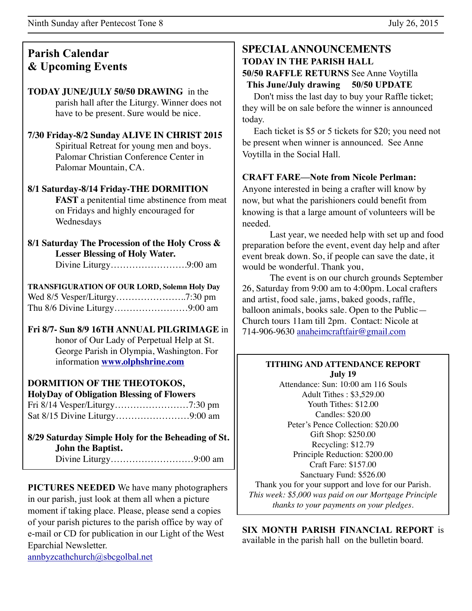### **Parish Calendar & Upcoming Events**

#### **TODAY JUNE/JULY 50/50 DRAWING** in the parish hall after the Liturgy. Winner does not have to be present. Sure would be nice.

#### **7/30 Friday-8/2 Sunday ALIVE IN CHRIST 2015**  Spiritual Retreat for young men and boys. Palomar Christian Conference Center in Palomar Mountain, CA.

### **8/1 Saturday-8/14 Friday-THE DORMITION**

**FAST** a penitential time abstinence from meat on Fridays and highly encouraged for Wednesdays

#### **8/1 Saturday The Procession of the Holy Cross & Lesser Blessing of Holy Water.** Divine Liturgy…………………….9:00 am

**TRANSFIGURATION OF OUR LORD, Solemn Holy Day** Wed 8/5 Vesper/Liturgy…………………..7:30 pm Thu 8/6 Divine Liturgy……………………9:00 am

#### **Fri 8/7- Sun 8/9 16TH ANNUAL PILGRIMAGE** in honor of Our Lady of Perpetual Help at St.

George Parish in Olympia, Washington. For information **[www.olphshrine.com](http://www.olphshrine.com)**

### **DORMITION OF THE THEOTOKOS,**

**HolyDay of Obligation Blessing of Flowers** Fri 8/14 Vesper/Liturgy……………………7:30 pm Sat 8/15 Divine Liturgy……………………9:00 am

### **8/29 Saturday Simple Holy for the Beheading of St. John the Baptist.**

Divine Liturgy………………………9:00 am

**PICTURES NEEDED** We have many photographers in our parish, just look at them all when a picture moment if taking place. Please, please send a copies of your parish pictures to the parish office by way of e-mail or CD for publication in our Light of the West Eparchial Newsletter.

[annbyzcathchurch@sbcgolbal.net](mailto:annbyzcathchurch@sbcgolbal.net)

#### **SPECIAL ANNOUNCEMENTS TODAY IN THE PARISH HALL 50/50 RAFFLE RETURNS** See Anne Voytilla  **This June/July drawing 50/50 UPDATE**

 Don't miss the last day to buy your Raffle ticket; they will be on sale before the winner is announced today.

 Each ticket is \$5 or 5 tickets for \$20; you need not be present when winner is announced. See Anne Voytilla in the Social Hall.

### **CRAFT FARE—Note from Nicole Perlman:**

Anyone interested in being a crafter will know by now, but what the parishioners could benefit from knowing is that a large amount of volunteers will be needed.

Last year, we needed help with set up and food preparation before the event, event day help and after event break down. So, if people can save the date, it would be wonderful. Thank you,

The event is on our church grounds September 26, Saturday from 9:00 am to 4:00pm. Local crafters and artist, food sale, jams, baked goods, raffle, balloon animals, books sale. Open to the Public— Church tours 11am till 2pm. Contact: Nicole at 714-906-9630 [anaheimcraftfair@gmail.com](mailto:anaheimcraftfair@gmail.com)

#### **TITHING AND ATTENDANCE REPORT July 19**

Attendance: Sun: 10:00 am 116 Souls Adult Tithes : \$3,529.00 Youth Tithes: \$12.00 Candles: \$20.00 Peter's Pence Collection: \$20.00 Gift Shop: \$250.00 Recycling: \$12.79 Principle Reduction: \$200.00 Craft Fare: \$157.00 Sanctuary Fund: \$526.00 Thank you for your support and love for our Parish.

*This week: \$5,000 was paid on our Mortgage Principle thanks to your payments on your pledges.*

**SIX MONTH PARISH FINANCIAL REPORT** is available in the parish hall on the bulletin board.